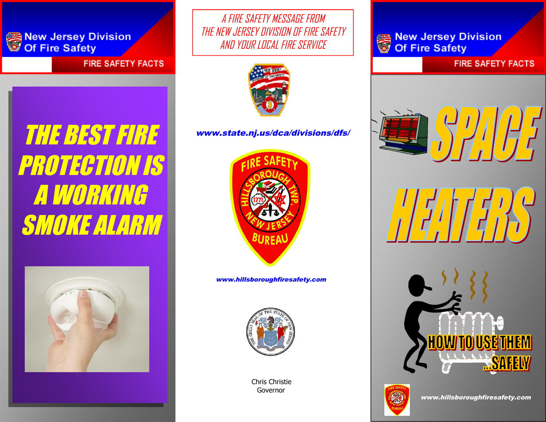

**FIRE SAFETY FACTS** 

THE BEST FIRE PROTECTION IS A WORKING SMOKE ALARM



A FIRE SAFETY MESSAGE FROM THE NEW JERSEY DIVISION OF FIRE SAFETY AND YOUR LOCAL FIRE SERVICE



www.state.nj.us/dca/divisions/dfs/



www.hillsboroughfiresafety.com



Chris Christie Governor

New Jersey Division

**FIRE SAFETY FACTS**